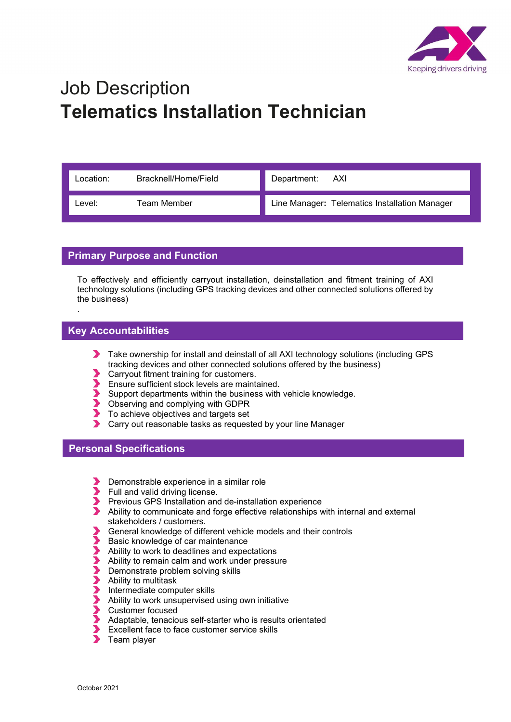

## Job Description Telematics Installation Technician

| Location: | Bracknell/Home/Field | Department: AXI                               |
|-----------|----------------------|-----------------------------------------------|
| Level:    | Team Member          | Line Manager: Telematics Installation Manager |

## Primary Purpose and Function

To effectively and efficiently carryout installation, deinstallation and fitment training of AXI technology solutions (including GPS tracking devices and other connected solutions offered by the business)

## Key Accountabilities

.

- Take ownership for install and deinstall of all AXI technology solutions (including GPS tracking devices and other connected solutions offered by the business)
- Carryout fitment training for customers.
- Ensure sufficient stock levels are maintained.
- Support departments within the business with vehicle knowledge.
- Observing and complying with GDPR
- To achieve objectives and targets set
- Carry out reasonable tasks as requested by your line Manager

## Personal Specifications

- Demonstrable experience in a similar role
- Full and valid driving license.
- Previous GPS Installation and de-installation experience
- Ability to communicate and forge effective relationships with internal and external stakeholders / customers.
- General knowledge of different vehicle models and their controls<br>
Basic knowledge of car maintenance<br>
Ability to work to deadlines and expectations<br>
Ability to remain calm and work under pressure<br>
Demonstrate problem solvi
- Basic knowledge of car maintenance
- Ability to work to deadlines and expectations
- Ability to remain calm and work under pressure
- Demonstrate problem solving skills
- Ability to multitask
- Intermediate computer skills
- Ability to work unsupervised using own initiative
- Customer focused
- Adaptable, tenacious self-starter who is results orientated
- Excellent face to face customer service skills
- $\overline{\phantom{a}}$ Team player